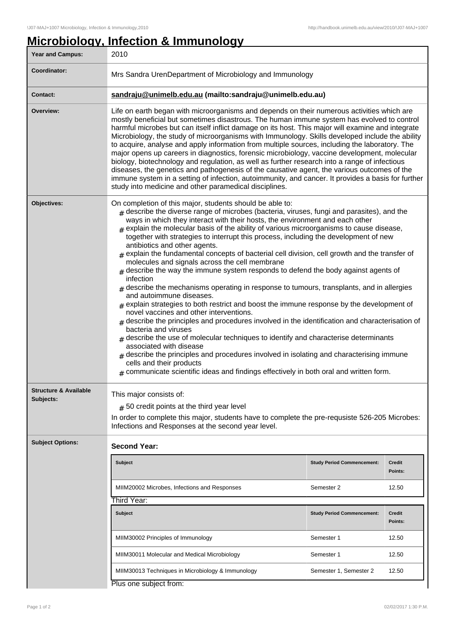## **Microbiology, Infection & Immunology**

| Year and Campus:                 | 2010                                                                                                                                                                                                                                                                                                                                                                                                                                                                                                                                                                                                                                                                                                                                                                                                                                                                                                                                                                                                                                                                                                                                                                                                                                                                                                                                                                                                                                                                                |                                   |                          |  |
|----------------------------------|-------------------------------------------------------------------------------------------------------------------------------------------------------------------------------------------------------------------------------------------------------------------------------------------------------------------------------------------------------------------------------------------------------------------------------------------------------------------------------------------------------------------------------------------------------------------------------------------------------------------------------------------------------------------------------------------------------------------------------------------------------------------------------------------------------------------------------------------------------------------------------------------------------------------------------------------------------------------------------------------------------------------------------------------------------------------------------------------------------------------------------------------------------------------------------------------------------------------------------------------------------------------------------------------------------------------------------------------------------------------------------------------------------------------------------------------------------------------------------------|-----------------------------------|--------------------------|--|
| Coordinator:                     | Mrs Sandra UrenDepartment of Microbiology and Immunology                                                                                                                                                                                                                                                                                                                                                                                                                                                                                                                                                                                                                                                                                                                                                                                                                                                                                                                                                                                                                                                                                                                                                                                                                                                                                                                                                                                                                            |                                   |                          |  |
| <b>Contact:</b>                  | sandraju@unimelb.edu.au (mailto:sandraju@unimelb.edu.au)                                                                                                                                                                                                                                                                                                                                                                                                                                                                                                                                                                                                                                                                                                                                                                                                                                                                                                                                                                                                                                                                                                                                                                                                                                                                                                                                                                                                                            |                                   |                          |  |
| Overview:                        | Life on earth began with microorganisms and depends on their numerous activities which are<br>mostly beneficial but sometimes disastrous. The human immune system has evolved to control<br>harmful microbes but can itself inflict damage on its host. This major will examine and integrate<br>Microbiology, the study of microorganisms with Immunology. Skills developed include the ability<br>to acquire, analyse and apply information from multiple sources, including the laboratory. The<br>major opens up careers in diagnostics, forensic microbiology, vaccine development, molecular<br>biology, biotechnology and regulation, as well as further research into a range of infectious<br>diseases, the genetics and pathogenesis of the causative agent, the various outcomes of the<br>immune system in a setting of infection, autoimmunity, and cancer. It provides a basis for further<br>study into medicine and other paramedical disciplines.                                                                                                                                                                                                                                                                                                                                                                                                                                                                                                                  |                                   |                          |  |
| Objectives:                      | On completion of this major, students should be able to:<br>$#$ describe the diverse range of microbes (bacteria, viruses, fungi and parasites), and the<br>ways in which they interact with their hosts, the environment and each other<br>$#$ explain the molecular basis of the ability of various microorganisms to cause disease,<br>together with strategies to interrupt this process, including the development of new<br>antibiotics and other agents.<br>$#$ explain the fundamental concepts of bacterial cell division, cell growth and the transfer of<br>molecules and signals across the cell membrane<br>$*$ describe the way the immune system responds to defend the body against agents of<br>infection<br>$#$ describe the mechanisms operating in response to tumours, transplants, and in allergies<br>and autoimmune diseases.<br>$#$ explain strategies to both restrict and boost the immune response by the development of<br>novel vaccines and other interventions.<br>$_{\#}$ describe the principles and procedures involved in the identification and characterisation of<br>bacteria and viruses<br>$_{\#}$ describe the use of molecular techniques to identify and characterise determinants<br>associated with disease<br>$_{\#}$ describe the principles and procedures involved in isolating and characterising immune<br>cells and their products<br>$*$ communicate scientific ideas and findings effectively in both oral and written form. |                                   |                          |  |
| <b>Structure &amp; Available</b> | This major consists of:                                                                                                                                                                                                                                                                                                                                                                                                                                                                                                                                                                                                                                                                                                                                                                                                                                                                                                                                                                                                                                                                                                                                                                                                                                                                                                                                                                                                                                                             |                                   |                          |  |
| Subjects:                        | $#$ 50 credit points at the third year level                                                                                                                                                                                                                                                                                                                                                                                                                                                                                                                                                                                                                                                                                                                                                                                                                                                                                                                                                                                                                                                                                                                                                                                                                                                                                                                                                                                                                                        |                                   |                          |  |
|                                  | In order to complete this major, students have to complete the pre-requsiste 526-205 Microbes:<br>Infections and Responses at the second year level.                                                                                                                                                                                                                                                                                                                                                                                                                                                                                                                                                                                                                                                                                                                                                                                                                                                                                                                                                                                                                                                                                                                                                                                                                                                                                                                                |                                   |                          |  |
| <b>Subject Options:</b>          | <b>Second Year:</b>                                                                                                                                                                                                                                                                                                                                                                                                                                                                                                                                                                                                                                                                                                                                                                                                                                                                                                                                                                                                                                                                                                                                                                                                                                                                                                                                                                                                                                                                 |                                   |                          |  |
|                                  | <b>Subject</b>                                                                                                                                                                                                                                                                                                                                                                                                                                                                                                                                                                                                                                                                                                                                                                                                                                                                                                                                                                                                                                                                                                                                                                                                                                                                                                                                                                                                                                                                      | <b>Study Period Commencement:</b> | <b>Credit</b><br>Points: |  |
|                                  | MIIM20002 Microbes, Infections and Responses                                                                                                                                                                                                                                                                                                                                                                                                                                                                                                                                                                                                                                                                                                                                                                                                                                                                                                                                                                                                                                                                                                                                                                                                                                                                                                                                                                                                                                        | Semester 2                        | 12.50                    |  |
|                                  | Third Year:                                                                                                                                                                                                                                                                                                                                                                                                                                                                                                                                                                                                                                                                                                                                                                                                                                                                                                                                                                                                                                                                                                                                                                                                                                                                                                                                                                                                                                                                         |                                   |                          |  |
|                                  | <b>Subject</b>                                                                                                                                                                                                                                                                                                                                                                                                                                                                                                                                                                                                                                                                                                                                                                                                                                                                                                                                                                                                                                                                                                                                                                                                                                                                                                                                                                                                                                                                      | <b>Study Period Commencement:</b> | <b>Credit</b><br>Points: |  |
|                                  | MIIM30002 Principles of Immunology                                                                                                                                                                                                                                                                                                                                                                                                                                                                                                                                                                                                                                                                                                                                                                                                                                                                                                                                                                                                                                                                                                                                                                                                                                                                                                                                                                                                                                                  | Semester 1                        | 12.50                    |  |
|                                  | MIIM30011 Molecular and Medical Microbiology                                                                                                                                                                                                                                                                                                                                                                                                                                                                                                                                                                                                                                                                                                                                                                                                                                                                                                                                                                                                                                                                                                                                                                                                                                                                                                                                                                                                                                        | Semester 1                        | 12.50                    |  |
|                                  | MIIM30013 Techniques in Microbiology & Immunology                                                                                                                                                                                                                                                                                                                                                                                                                                                                                                                                                                                                                                                                                                                                                                                                                                                                                                                                                                                                                                                                                                                                                                                                                                                                                                                                                                                                                                   | Semester 1, Semester 2            | 12.50                    |  |
|                                  | Plus one subject from:                                                                                                                                                                                                                                                                                                                                                                                                                                                                                                                                                                                                                                                                                                                                                                                                                                                                                                                                                                                                                                                                                                                                                                                                                                                                                                                                                                                                                                                              |                                   |                          |  |